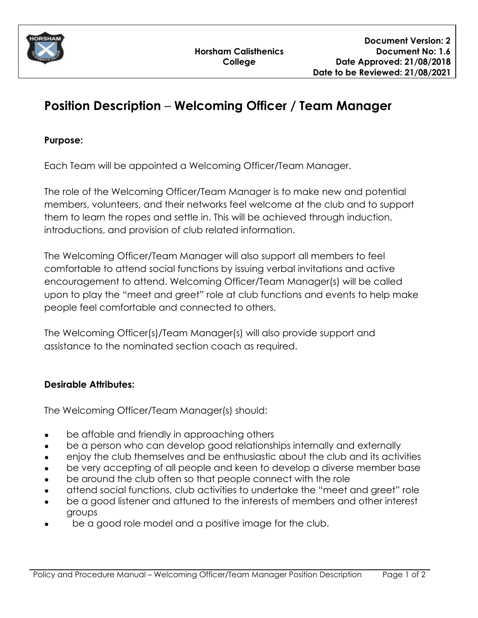

# **Position Description** – **Welcoming Officer / Team Manager**

## **Purpose:**

Each Team will be appointed a Welcoming Officer/Team Manager.

The role of the Welcoming Officer/Team Manager is to make new and potential members, volunteers, and their networks feel welcome at the club and to support them to learn the ropes and settle in. This will be achieved through induction, introductions, and provision of club related information.

The Welcoming Officer/Team Manager will also support all members to feel comfortable to attend social functions by issuing verbal invitations and active encouragement to attend. Welcoming Officer/Team Manager(s) will be called upon to play the "meet and greet" role at club functions and events to help make people feel comfortable and connected to others.

The Welcoming Officer(s)/Team Manager(s) will also provide support and assistance to the nominated section coach as required.

## **Desirable Attributes:**

The Welcoming Officer/Team Manager(s) should:

- be affable and friendly in approaching others
- be a person who can develop good relationships internally and externally
- enjoy the club themselves and be enthusiastic about the club and its activities
- be very accepting of all people and keen to develop a diverse member base
- be around the club often so that people connect with the role
- attend social functions, club activities to undertake the "meet and greet" role
- be a good listener and attuned to the interests of members and other interest groups
- **●** be a good role model and a positive image for the club.